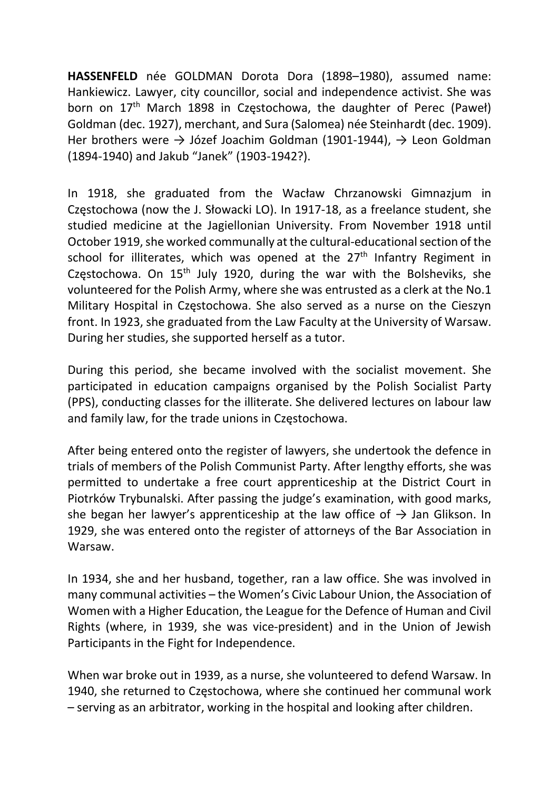HASSENFELD née GOLDMAN Dorota Dora (1898–1980), assumed name: Hankiewicz. Lawyer, city councillor, social and independence activist. She was born on 17<sup>th</sup> March 1898 in Częstochowa, the daughter of Perec (Paweł) Goldman (dec. 1927), merchant, and Sura (Salomea) née Steinhardt (dec. 1909). Her brothers were  $\rightarrow$  Józef Joachim Goldman (1901-1944),  $\rightarrow$  Leon Goldman (1894-1940) and Jakub "Janek" (1903-1942?).

In 1918, she graduated from the Wacław Chrzanowski Gimnazjum in Częstochowa (now the J. Słowacki LO). In 1917-18, as a freelance student, she studied medicine at the Jagiellonian University. From November 1918 until October 1919, she worked communally at the cultural-educational section of the school for illiterates, which was opened at the 27<sup>th</sup> Infantry Regiment in Częstochowa. On 15<sup>th</sup> July 1920, during the war with the Bolsheviks, she volunteered for the Polish Army, where she was entrusted as a clerk at the No.1 Military Hospital in Częstochowa. She also served as a nurse on the Cieszyn front. In 1923, she graduated from the Law Faculty at the University of Warsaw. During her studies, she supported herself as a tutor.

During this period, she became involved with the socialist movement. She participated in education campaigns organised by the Polish Socialist Party (PPS), conducting classes for the illiterate. She delivered lectures on labour law and family law, for the trade unions in Częstochowa.

After being entered onto the register of lawyers, she undertook the defence in trials of members of the Polish Communist Party. After lengthy efforts, she was permitted to undertake a free court apprenticeship at the District Court in Piotrków Trybunalski. After passing the judge's examination, with good marks, she began her lawyer's apprenticeship at the law office of  $\rightarrow$  Jan Glikson. In 1929, she was entered onto the register of attorneys of the Bar Association in Warsaw.

In 1934, she and her husband, together, ran a law office. She was involved in many communal activities – the Women's Civic Labour Union, the Association of Women with a Higher Education, the League for the Defence of Human and Civil Rights (where, in 1939, she was vice-president) and in the Union of Jewish Participants in the Fight for Independence.

When war broke out in 1939, as a nurse, she volunteered to defend Warsaw. In 1940, she returned to Częstochowa, where she continued her communal work – serving as an arbitrator, working in the hospital and looking after children.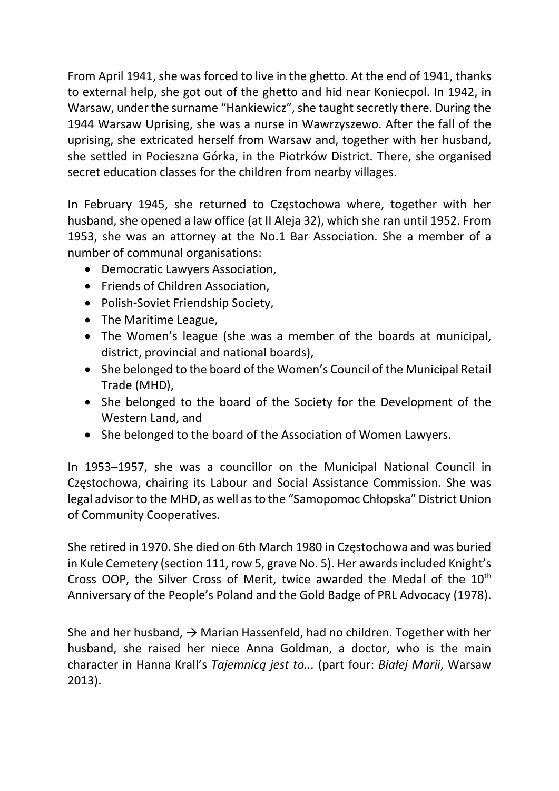From April 1941, she was forced to live in the ghetto. At the end of 1941, thanks to external help, she got out of the ghetto and hid near Koniecpol. In 1942, in Warsaw, under the surname "Hankiewicz", she taught secretly there. During the 1944 Warsaw Uprising, she was a nurse in Wawrzyszewo. After the fall of the uprising, she extricated herself from Warsaw and, together with her husband, she settled in Pocieszna Górka, in the Piotrków District. There, she organised secret education classes for the children from nearby villages.

In February 1945, she returned to Częstochowa where, together with her husband, she opened a law office (at II Aleja 32), which she ran until 1952. From 1953, she was an attorney at the No.1 Bar Association. She a member of a number of communal organisations:

- Democratic Lawyers Association,
- Friends of Children Association,
- Polish-Soviet Friendship Society,
- The Maritime League,
- The Women's league (she was a member of the boards at municipal, district, provincial and national boards),
- She belonged to the board of the Women's Council of the Municipal Retail Trade (MHD),
- She belonged to the board of the Society for the Development of the Western Land, and
- She belonged to the board of the Association of Women Lawyers.

In 1953–1957, she was a councillor on the Municipal National Council in Częstochowa, chairing its Labour and Social Assistance Commission. She was legal advisor to the MHD, as well as to the "Samopomoc Chłopska" District Union of Community Cooperatives.

She retired in 1970. She died on 6th March 1980 in Częstochowa and was buried in Kule Cemetery (section 111, row 5, grave No. 5). Her awards included Knight's Cross OOP, the Silver Cross of Merit, twice awarded the Medal of the 10<sup>th</sup> Anniversary of the People's Poland and the Gold Badge of PRL Advocacy (1978).

She and her husband,  $\rightarrow$  Marian Hassenfeld, had no children. Together with her husband, she raised her niece Anna Goldman, a doctor, who is the main character in Hanna Krall's Tajemnicą jest to... (part four: Białej Marii, Warsaw 2013).